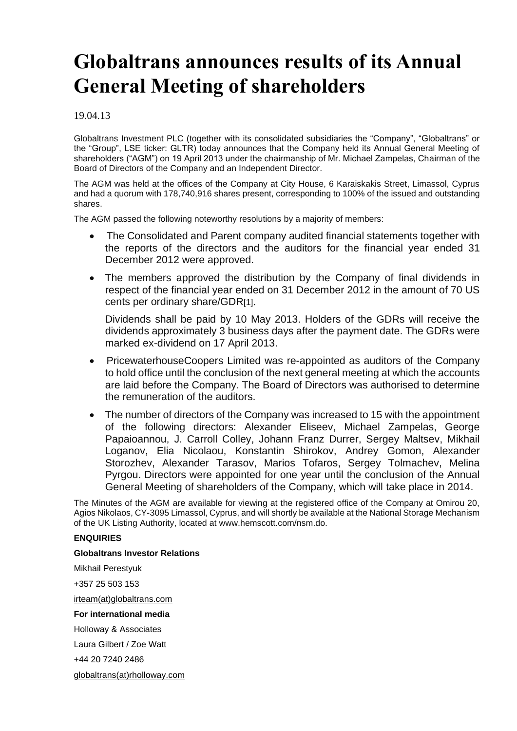# **Globaltrans announces results of its Annual General Meeting of shareholders**

# 19.04.13

Globaltrans Investment PLC (together with its consolidated subsidiaries the "Company", "Globaltrans" or the "Group", LSE ticker: GLTR) today announces that the Company held its Annual General Meeting of shareholders ("AGM") on 19 April 2013 under the chairmanship of Mr. Michael Zampelas, Chairman of the Board of Directors of the Company and an Independent Director.

The AGM was held at the offices of the Company at City House, 6 Karaiskakis Street, Limassol, Cyprus and had a quorum with 178,740,916 shares present, corresponding to 100% of the issued and outstanding shares.

The AGM passed the following noteworthy resolutions by a majority of members:

- The Consolidated and Parent company audited financial statements together with the reports of the directors and the auditors for the financial year ended 31 December 2012 were approved.
- The members approved the distribution by the Company of final dividends in respect of the financial year ended on 31 December 2012 in the amount of 70 US cents per ordinary share/GDR[1].

Dividends shall be paid by 10 May 2013. Holders of the GDRs will receive the dividends approximately 3 business days after the payment date. The GDRs were marked ex-dividend on 17 April 2013.

- PricewaterhouseCoopers Limited was re-appointed as auditors of the Company to hold office until the conclusion of the next general meeting at which the accounts are laid before the Company. The Board of Directors was authorised to determine the remuneration of the auditors.
- The number of directors of the Company was increased to 15 with the appointment of the following directors: Alexander Eliseev, Michael Zampelas, George Papaioannou, J. Carroll Colley, Johann Franz Durrer, Sergey Maltsev, Mikhail Loganov, Elia Nicolaou, Konstantin Shirokov, Andrey Gomon, Alexander Storozhev, Alexander Tarasov, Marios Tofaros, Sergey Tolmachev, Melina Pyrgou. Directors were appointed for one year until the conclusion of the Annual General Meeting of shareholders of the Company, which will take place in 2014.

The Minutes of the AGM are available for viewing at the registered office of the Company at Omirou 20, Agios Nikolaos, CY-3095 Limassol, Cyprus, and will shortly be available at the National Storage Mechanism of the UK Listing Authority, located at www.hemscott.com/nsm.do.

## **ENQUIRIES**

## **Globaltrans Investor Relations**

Mikhail Perestyuk

+357 25 503 153

[irteam\(at\)globaltrans.com](mailto:irteam@globaltrans.com)

## **For international media**

Holloway & Associates

Laura Gilbert / Zoe Watt

+44 20 7240 2486

[globaltrans\(at\)rholloway.com](mailto:globaltrans@rholloway.com)